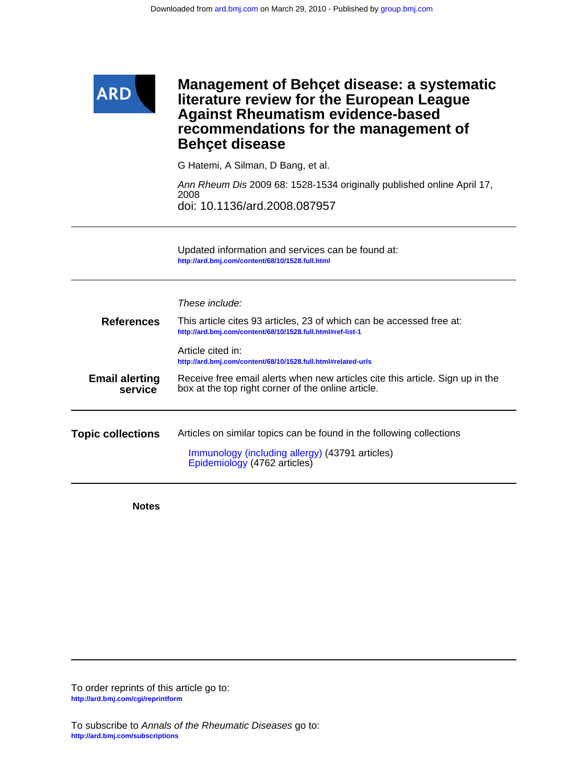# **Behçet disease recommendations for the management of Against Rheumatism evidence-based literature review for the European League Management of Behçet disease: a systematic**

G Hatemi, A Silman, D Bang, et al.

doi: 10.1136/ard.2008.087957 2008 Ann Rheum Dis 2009 68: 1528-1534 originally published online April 17,

**<http://ard.bmj.com/content/68/10/1528.full.html>** Updated information and services can be found at:

# These include:

| <b>References</b>                | This article cites 93 articles, 23 of which can be accessed free at:<br>http://ard.bmj.com/content/68/10/1528.full.html#ref-list-1                      |
|----------------------------------|---------------------------------------------------------------------------------------------------------------------------------------------------------|
|                                  | Article cited in:<br>http://ard.bmj.com/content/68/10/1528.full.html#related-urls                                                                       |
| <b>Email alerting</b><br>service | Receive free email alerts when new articles cite this article. Sign up in the<br>box at the top right corner of the online article.                     |
| <b>Topic collections</b>         | Articles on similar topics can be found in the following collections<br>Immunology (including allergy) (43791 articles)<br>Epidemiology (4762 articles) |

**Notes**

**ARD** 

**<http://ard.bmj.com/cgi/reprintform>** To order reprints of this article go to: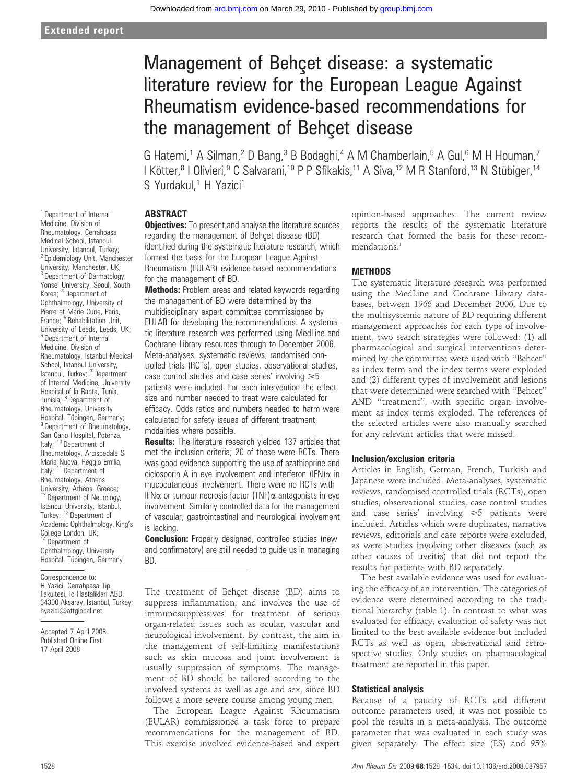<sup>1</sup> Department of Internal

# Management of Behçet disease: a systematic literature review for the European League Against Rheumatism evidence-based recommendations for the management of Behçet disease

G Hatemi,<sup>1</sup> A Silman,<sup>2</sup> D Bang,<sup>3</sup> B Bodaghi,<sup>4</sup> A M Chamberlain,<sup>5</sup> A Gul,<sup>6</sup> M H Houman,<sup>7</sup> I Kötter,<sup>8</sup> I Olivieri,<sup>9</sup> C Salvarani,<sup>10</sup> P P Sfikakis,<sup>11</sup> A Siva,<sup>12</sup> M R Stanford,<sup>13</sup> N Stübiger,<sup>14</sup> S Yurdakul,<sup>1</sup> H Yazici<sup>1</sup>

# ABSTRACT

**Objectives:** To present and analyse the literature sources regarding the management of Behçet disease (BD) identified during the systematic literature research, which formed the basis for the European League Against Rheumatism (EULAR) evidence-based recommendations for the management of BD.

Methods: Problem areas and related keywords regarding the management of BD were determined by the multidisciplinary expert committee commissioned by EULAR for developing the recommendations. A systematic literature research was performed using MedLine and Cochrane Library resources through to December 2006. Meta-analyses, systematic reviews, randomised controlled trials (RCTs), open studies, observational studies, case control studies and case series' involving  $\geq 5$ patients were included. For each intervention the effect size and number needed to treat were calculated for efficacy. Odds ratios and numbers needed to harm were calculated for safety issues of different treatment modalities where possible.

Results: The literature research yielded 137 articles that met the inclusion criteria; 20 of these were RCTs. There was good evidence supporting the use of azathioprine and ciclosporin A in eye involvement and interferon (IFN) $\alpha$  in mucocutaneous involvement. There were no RCTs with IFN $\alpha$  or tumour necrosis factor (TNF) $\alpha$  antagonists in eve involvement. Similarly controlled data for the management of vascular, gastrointestinal and neurological involvement is lacking.

**Conclusion:** Properly designed, controlled studies (new and confirmatory) are still needed to guide us in managing BD.

The treatment of Behcet disease (BD) aims to suppress inflammation, and involves the use of immunosuppressives for treatment of serious organ-related issues such as ocular, vascular and neurological involvement. By contrast, the aim in the management of self-limiting manifestations such as skin mucosa and joint involvement is usually suppression of symptoms. The management of BD should be tailored according to the involved systems as well as age and sex, since BD follows a more severe course among young men.

The European League Against Rheumatism (EULAR) commissioned a task force to prepare recommendations for the management of BD. This exercise involved evidence-based and expert opinion-based approaches. The current review reports the results of the systematic literature research that formed the basis for these recommendations.<sup>1</sup>

# **METHODS**

The systematic literature research was performed using the MedLine and Cochrane Library databases, between 1966 and December 2006. Due to the multisystemic nature of BD requiring different management approaches for each type of involvement, two search strategies were followed: (1) all pharmacological and surgical interventions determined by the committee were used with ''Behcet'' as index term and the index terms were exploded and (2) different types of involvement and lesions that were determined were searched with ''Behcet'' AND ''treatment'', with specific organ involvement as index terms exploded. The references of the selected articles were also manually searched for any relevant articles that were missed.

### Inclusion/exclusion criteria

Articles in English, German, French, Turkish and Japanese were included. Meta-analyses, systematic reviews, randomised controlled trials (RCTs), open studies, observational studies, case control studies and case series' involving  $\geq 5$  patients were included. Articles which were duplicates, narrative reviews, editorials and case reports were excluded, as were studies involving other diseases (such as other causes of uveitis) that did not report the results for patients with BD separately.

The best available evidence was used for evaluating the efficacy of an intervention. The categories of evidence were determined according to the traditional hierarchy (table 1). In contrast to what was evaluated for efficacy, evaluation of safety was not limited to the best available evidence but included RCTs as well as open, observational and retrospective studies. Only studies on pharmacological treatment are reported in this paper.

# Statistical analysis

Because of a paucity of RCTs and different outcome parameters used, it was not possible to pool the results in a meta-analysis. The outcome parameter that was evaluated in each study was given separately. The effect size (ES) and 95%

Medicine, Division of Rheumatology, Cerrahpasa Medical School, Istanbul University, Istanbul, Turkey; <sup>2</sup> Epidemiology Unit, Manchester University, Manchester, UK; <sup>3</sup> Department of Dermatology, Yonsei University, Seoul, South Korea; <sup>4</sup> Department of Ophthalmology, University of Pierre et Marie Curie, Paris, France; <sup>5</sup> Rehabilitation Unit, University of Leeds, Leeds, UK; <sup>6</sup> Department of Internal Medicine, Division of Rheumatology, Istanbul Medical School, Istanbul University, Istanbul, Turkey; <sup>7</sup> Department of Internal Medicine, University Hospital of la Rabta, Tunis, Tunisia; <sup>8</sup> Department of Rheumatology, University<br>Hospital, Tübingen, Germany; <sup>9</sup> Department of Rheumatology, San Carlo Hospital, Potenza, Italy; <sup>10</sup> Department of Rheumatology, Arcispedale S Maria Nuova, Reggio Emilia, Italy; <sup>11</sup> Department of Rheumatology, Athens University, Athens, Greece; <sup>12</sup> Department of Neurology, Istanbul University, Istanbul, Turkey; <sup>13</sup> Department of Academic Ophthalmology, King's College London, UK; <sup>14</sup> Department of Ophthalmology, University Hospital, Tübingen, Germany

Correspondence to: H Yazici, Cerrahpasa Tip Fakultesi, Ic Hastaliklari ABD, 34300 Aksaray, Istanbul, Turkey; hyazici@attglobal.net

Accepted 7 April 2008 Published Online First 17 April 2008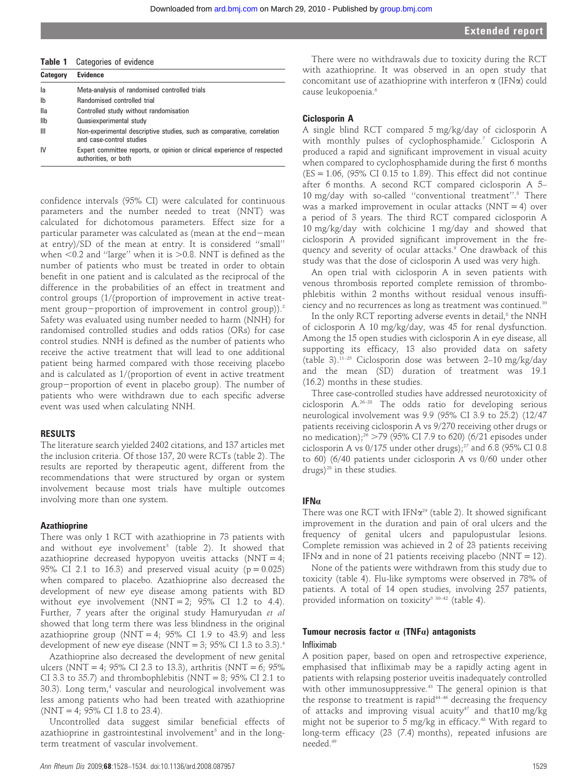| Table 1 | Categories of evidence |  |  |
|---------|------------------------|--|--|
|---------|------------------------|--|--|

| <b>Category</b> | <b>Evidence</b>                                                                                    |  |  |  |  |  |
|-----------------|----------------------------------------------------------------------------------------------------|--|--|--|--|--|
| la              | Meta-analysis of randomised controlled trials                                                      |  |  |  |  |  |
| Ib              | Randomised controlled trial                                                                        |  |  |  |  |  |
| lla             | Controlled study without randomisation                                                             |  |  |  |  |  |
| Ilb             | Quasiexperimental study                                                                            |  |  |  |  |  |
| Ш               | Non-experimental descriptive studies, such as comparative, correlation<br>and case-control studies |  |  |  |  |  |
| IV              | Expert committee reports, or opinion or clinical experience of respected<br>authorities, or both   |  |  |  |  |  |

confidence intervals (95% CI) were calculated for continuous parameters and the number needed to treat (NNT) was calculated for dichotomous parameters. Effect size for a particular parameter was calculated as (mean at the end-mean at entry)/SD of the mean at entry. It is considered ''small'' when  $<$  0.2 and "large" when it is  $>$  0.8. NNT is defined as the number of patients who must be treated in order to obtain benefit in one patient and is calculated as the reciprocal of the difference in the probabilities of an effect in treatment and control groups (1/(proportion of improvement in active treatment group-proportion of improvement in control group)).<sup>2</sup> Safety was evaluated using number needed to harm (NNH) for randomised controlled studies and odds ratios (ORs) for case control studies. NNH is defined as the number of patients who receive the active treatment that will lead to one additional patient being harmed compared with those receiving placebo and is calculated as 1/(proportion of event in active treatment group-proportion of event in placebo group). The number of patients who were withdrawn due to each specific adverse event was used when calculating NNH.

### RESULTS

The literature search yielded 2402 citations, and 137 articles met the inclusion criteria. Of those 137, 20 were RCTs (table 2). The results are reported by therapeutic agent, different from the recommendations that were structured by organ or system involvement because most trials have multiple outcomes involving more than one system.

#### **Azathioprine**

There was only 1 RCT with azathioprine in 73 patients with and without eye involvement<sup>3</sup> (table 2). It showed that azathioprine decreased hypopyon uveitis attacks  $(NNT = 4;$ 95% CI 2.1 to 16.3) and preserved visual acuity ( $p = 0.025$ ) when compared to placebo. Azathioprine also decreased the development of new eye disease among patients with BD without eye involvement (NNT = 2;  $95\%$  CI 1.2 to 4.4). Further, 7 years after the original study Hamuryudan et al showed that long term there was less blindness in the original azathioprine group (NNT = 4;  $95\%$  CI 1.9 to 43.9) and less development of new eye disease (NNT = 3; 95% CI 1.3 to 3.3).<sup>4</sup>

Azathioprine also decreased the development of new genital ulcers (NNT = 4; 95% CI 2.3 to 13.3), arthritis (NNT = 6; 95% CI 3.3 to 35.7) and thrombophlebitis (NNT = 8;  $95\%$  CI 2.1 to 30.3). Long term,<sup>4</sup> vascular and neurological involvement was less among patients who had been treated with azathioprine  $(NNT = 4; 95\% CI 1.8 to 23.4).$ 

Uncontrolled data suggest similar beneficial effects of azathioprine in gastrointestinal involvement<sup>5</sup> and in the longterm treatment of vascular involvement.

There were no withdrawals due to toxicity during the RCT with azathioprine. It was observed in an open study that concomitant use of azathioprine with interferon  $\alpha$  (IFN $\alpha$ ) could cause leukopoenia.<sup>6</sup>

#### Ciclosporin A

A single blind RCT compared 5 mg/kg/day of ciclosporin A with monthly pulses of cyclophosphamide.<sup>7</sup> Ciclosporin A produced a rapid and significant improvement in visual acuity when compared to cyclophosphamide during the first 6 months  $(ES = 1.06, (95\% \text{ CI } 0.15 \text{ to } 1.89)$ . This effect did not continue after 6 months. A second RCT compared ciclosporin A 5– 10 mg/day with so-called ''conventional treatment''.8 There was a marked improvement in ocular attacks  $(NNT = 4)$  over a period of 3 years. The third RCT compared ciclosporin A 10 mg/kg/day with colchicine 1 mg/day and showed that ciclosporin A provided significant improvement in the frequency and severity of ocular attacks.<sup>9</sup> One drawback of this study was that the dose of ciclosporin A used was very high.

An open trial with ciclosporin A in seven patients with venous thrombosis reported complete remission of thrombophlebitis within 2 months without residual venous insufficiency and no recurrences as long as treatment was continued.10

In the only RCT reporting adverse events in detail,<sup>8</sup> the NNH of ciclosporin A 10 mg/kg/day, was 45 for renal dysfunction. Among the 15 open studies with ciclosporin A in eye disease, all supporting its efficacy, 13 also provided data on safety (table 3).11–25 Ciclosporin dose was between 2–10 mg/kg/day and the mean (SD) duration of treatment was 19.1 (16.2) months in these studies.

Three case-controlled studies have addressed neurotoxicity of ciclosporin A.26–28 The odds ratio for developing serious neurological involvement was 9.9 (95% CI 3.9 to 25.2) (12/47 patients receiving ciclosporin A vs 9/270 receiving other drugs or no medication);<sup>26</sup> >79 (95% CI 7.9 to 620) (6/21 episodes under ciclosporin A vs  $0/175$  under other drugs);<sup>27</sup> and 6.8 (95% CI 0.8 to 60) (6/40 patients under ciclosporin A vs 0/60 under other drugs) $^{28}$  in these studies.

#### $IFN\alpha$

There was one RCT with IFN $\alpha^{29}$  (table 2). It showed significant improvement in the duration and pain of oral ulcers and the frequency of genital ulcers and papulopustular lesions. Complete remission was achieved in 2 of 23 patients receiving IFN $\alpha$  and in none of 21 patients receiving placebo (NNT = 12).

None of the patients were withdrawn from this study due to toxicity (table 4). Flu-like symptoms were observed in 78% of patients. A total of 14 open studies, involving 257 patients, provided information on toxicity<sup>5 30-42</sup> (table 4).

# Tumour necrosis factor  $\alpha$  (TNF $\alpha$ ) antagonists

#### Infliximab

A position paper, based on open and retrospective experience, emphasised that infliximab may be a rapidly acting agent in patients with relapsing posterior uveitis inadequately controlled with other immunosuppressive.<sup>43</sup> The general opinion is that the response to treatment is rapid<sup>44-46</sup> decreasing the frequency of attacks and improving visual acuity<sup>47</sup> and that10 mg/kg might not be superior to 5 mg/kg in efficacy.<sup>48</sup> With regard to long-term efficacy (23 (7.4) months), repeated infusions are needed.49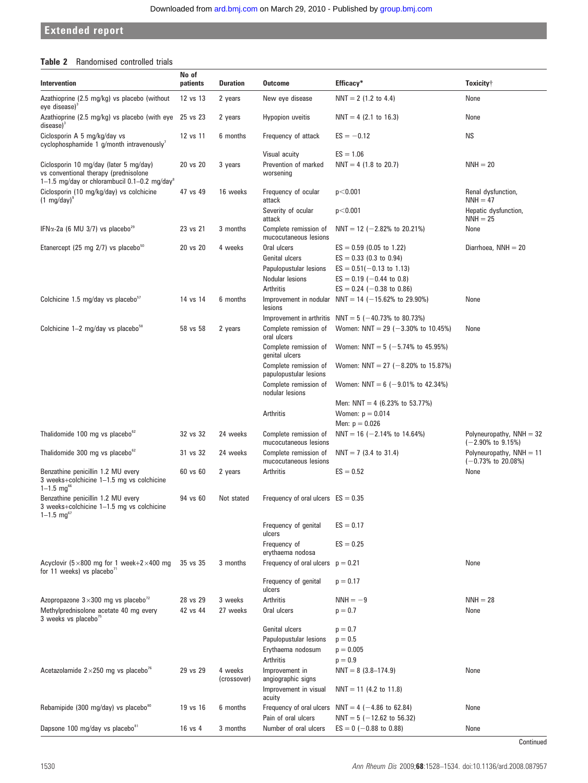# Extended report

# Table 2 Randomised controlled trials

| Intervention                                                                                                                                | No of<br>patients | <b>Duration</b> | Outcome                                         | Efficacy*                                                                                   | Toxicity <sup>+</sup>                                        |
|---------------------------------------------------------------------------------------------------------------------------------------------|-------------------|-----------------|-------------------------------------------------|---------------------------------------------------------------------------------------------|--------------------------------------------------------------|
|                                                                                                                                             |                   |                 |                                                 |                                                                                             |                                                              |
| Azathioprine (2.5 mg/kg) vs placebo (without<br>eye disease) <sup>3</sup>                                                                   | 12 vs 13          | 2 years         | New eye disease                                 | $NNT = 2$ (1.2 to 4.4)                                                                      | None                                                         |
| Azathioprine (2.5 mg/kg) vs placebo (with eye<br>disease) <sup>3</sup>                                                                      | 25 vs 23          | 2 years         | Hypopion uveitis                                | $NNT = 4$ (2.1 to 16.3)                                                                     | None                                                         |
| Ciclosporin A 5 mg/kg/day vs<br>cyclophosphamide 1 $q/m$ onth intravenously <sup>7</sup>                                                    | 12 vs 11          | 6 months        | Frequency of attack                             | $ES = -0.12$<br>$ES = 1.06$                                                                 | <b>NS</b>                                                    |
|                                                                                                                                             |                   |                 | Visual acuity                                   |                                                                                             |                                                              |
| Ciclosporin 10 mg/day (later 5 mg/day)<br>vs conventional therapy (prednisolone<br>1-1.5 mg/day or chlorambucil 0.1-0.2 mg/day <sup>8</sup> | 20 vs 20          | 3 years         | Prevention of marked<br>worsening               | $NNT = 4$ (1.8 to 20.7)                                                                     | $NNH = 20$                                                   |
| Ciclosporin (10 mg/kg/day) vs colchicine<br>$(1 \text{ mg/day})^9$                                                                          | 47 vs 49          | 16 weeks        | Frequency of ocular<br>attack                   | p<0.001                                                                                     | Renal dysfunction,<br>$NNH = 47$                             |
|                                                                                                                                             |                   |                 | Severity of ocular<br>attack                    | $p<$ 0.001                                                                                  | Hepatic dysfunction,<br>$NNH = 25$                           |
| IFN $\alpha$ -2a (6 MU 3/7) vs placebo <sup>29</sup>                                                                                        | 23 vs 21          | 3 months        | Complete remission of<br>mucocutaneous lesions  | $NNT = 12 (-2.82\% to 20.21\%)$                                                             | None                                                         |
| Etanercept (25 mg $2/7$ ) vs placebo <sup>50</sup>                                                                                          | 20 vs 20          | 4 weeks         | Oral ulcers                                     | $ES = 0.59$ (0.05 to 1.22)                                                                  | Diarrhoea, $NNH = 20$                                        |
|                                                                                                                                             |                   |                 | Genital ulcers                                  | $ES = 0.33$ (0.3 to 0.94)                                                                   |                                                              |
|                                                                                                                                             |                   |                 | Papulopustular lesions                          | $ES = 0.51(-0.13$ to 1.13)                                                                  |                                                              |
|                                                                                                                                             |                   |                 | Nodular lesions                                 | $ES = 0.19$ (-0.44 to 0.8)                                                                  |                                                              |
|                                                                                                                                             |                   |                 | <b>Arthritis</b>                                | $ES = 0.24 (-0.38 \text{ to } 0.86)$                                                        |                                                              |
| Colchicine 1.5 mg/day vs placebo <sup>57</sup>                                                                                              | 14 vs 14          | 6 months        | Improvement in nodular<br>lesions               | $NNT = 14 (-15.62\% \text{ to } 29.90\%)$                                                   | None                                                         |
|                                                                                                                                             |                   |                 |                                                 | Improvement in arthritis $NNT = 5$ ( $-40.73\%$ to 80.73%)                                  |                                                              |
| Colchicine 1-2 mg/day vs placebo <sup>58</sup>                                                                                              | 58 vs 58          | 2 years         | Complete remission of<br>oral ulcers            | Women: NNT = 29 $(-3.30\% \text{ to } 10.45\%)$                                             | None                                                         |
|                                                                                                                                             |                   |                 | Complete remission of<br>genital ulcers         | Women: $NNT = 5 (-5.74\% \text{ to } 45.95\%)$                                              |                                                              |
|                                                                                                                                             |                   |                 | Complete remission of<br>papulopustular lesions | Women: $NNT = 27 (-8.20\% \text{ to } 15.87\%)$                                             |                                                              |
|                                                                                                                                             |                   |                 | Complete remission of<br>nodular lesions        | Women: $NNT = 6 (-9.01\% \text{ to } 42.34\%)$                                              |                                                              |
|                                                                                                                                             |                   |                 |                                                 | Men: NNT = 4 (6.23% to 53.77%)                                                              |                                                              |
|                                                                                                                                             |                   |                 | Arthritis                                       | Women: $p = 0.014$                                                                          |                                                              |
|                                                                                                                                             |                   |                 |                                                 | Men: $p = 0.026$                                                                            |                                                              |
| Thalidomide 100 mg vs placebo <sup>62</sup>                                                                                                 | 32 vs 32          | 24 weeks        | Complete remission of<br>mucocutaneous lesions  | $NNT = 16 (-2.14\% \text{ to } 14.64\%)$                                                    | Polyneuropathy, $NNH = 32$<br>$(-2.90\% \text{ to } 9.15\%)$ |
| Thalidomide 300 mg vs placebo <sup>62</sup>                                                                                                 | 31 vs 32          | 24 weeks        | Complete remission of<br>mucocutaneous lesions  | $NNT = 7$ (3.4 to 31.4)                                                                     | Polyneuropathy, $NNH = 11$<br>$(-0.73%$ to 20.08%)           |
| Benzathine penicillin 1.2 MU every<br>3 weeks+colchicine 1-1.5 mg vs colchicine<br>$1 - 1.5$ mg <sup>66</sup>                               | 60 vs 60          | 2 years         | Arthritis                                       | $ES = 0.52$                                                                                 | None                                                         |
| Benzathine penicillin 1.2 MU every<br>3 weeks+colchicine 1-1.5 mg vs colchicine                                                             | 94 vs 60          | Not stated      | Frequency of oral ulcers $ES = 0.35$            |                                                                                             |                                                              |
| $1 - 1.5$ mg <sup>67</sup>                                                                                                                  |                   |                 | Frequency of genital                            | $ES = 0.17$                                                                                 |                                                              |
|                                                                                                                                             |                   |                 | ulcers                                          |                                                                                             |                                                              |
|                                                                                                                                             |                   |                 | Frequency of<br>erythaema nodosa                | $ES = 0.25$                                                                                 |                                                              |
| Acyclovir ( $5 \times 800$ mg for 1 week+2 $\times$ 400 mg<br>for 11 weeks) vs placebo <sup>71</sup>                                        | 35 vs 35          | 3 months        | Frequency of oral ulcers $p = 0.21$             |                                                                                             | None                                                         |
|                                                                                                                                             |                   |                 | Frequency of genital<br>ulcers                  | $p = 0.17$                                                                                  |                                                              |
| Azopropazone $3\times300$ mg vs placebo <sup>72</sup>                                                                                       | 28 vs 29          | 3 weeks         | <b>Arthritis</b>                                | $NNH = -9$                                                                                  | $NNH = 28$                                                   |
| Methylprednisolone acetate 40 mg every<br>3 weeks vs placebo <sup>75</sup>                                                                  | 42 vs 44          | 27 weeks        | Oral ulcers                                     | $p = 0.7$                                                                                   | None                                                         |
|                                                                                                                                             |                   |                 | Genital ulcers                                  | $p = 0.7$                                                                                   |                                                              |
|                                                                                                                                             |                   |                 | Papulopustular lesions                          | $p = 0.5$                                                                                   |                                                              |
|                                                                                                                                             |                   |                 | Erythaema nodosum                               | $p = 0.005$                                                                                 |                                                              |
|                                                                                                                                             |                   |                 | Arthritis                                       | $p = 0.9$                                                                                   |                                                              |
| Acetazolamide $2\times250$ mg vs placebo <sup>16</sup>                                                                                      | 29 vs 29          | 4 weeks         | Improvement in                                  | $NNT = 8(3.8 - 174.9)$                                                                      | None                                                         |
|                                                                                                                                             |                   | (crossover)     | angiographic signs                              |                                                                                             |                                                              |
|                                                                                                                                             |                   |                 | Improvement in visual                           | $NNT = 11$ (4.2 to 11.8)                                                                    |                                                              |
|                                                                                                                                             |                   | 6 months        | acuity                                          |                                                                                             |                                                              |
| Rebamipide (300 mg/day) vs placebo <sup>80</sup>                                                                                            | 19 vs 16          |                 | Pain of oral ulcers                             | Frequency of oral ulcers $NNT = 4$ (-4.86 to 62.84)<br>$NNT = 5 (-12.62 \text{ to } 56.32)$ | None                                                         |
| Dapsone 100 mg/day vs placebo <sup>81</sup>                                                                                                 | 16 vs 4           | 3 months        | Number of oral ulcers                           | $ES = 0$ (-0.88 to 0.88)                                                                    | None                                                         |
|                                                                                                                                             |                   |                 |                                                 |                                                                                             |                                                              |

Continued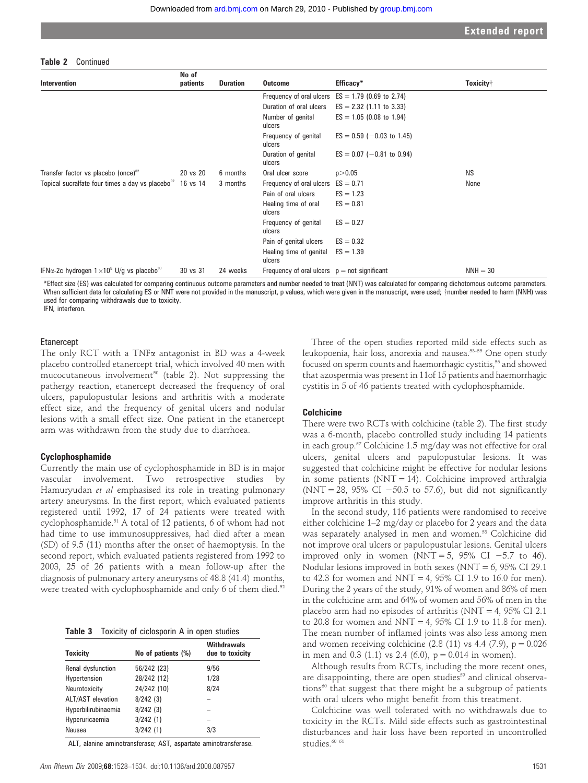# Table 2 Continued

| Intervention                                                           | No of<br>patients | <b>Duration</b> | <b>Outcome</b>                                 | Efficacy*                                           | <b>Toxicity</b> † |
|------------------------------------------------------------------------|-------------------|-----------------|------------------------------------------------|-----------------------------------------------------|-------------------|
|                                                                        |                   |                 |                                                | Frequency of oral ulcers $ES = 1.79$ (0.69 to 2.74) |                   |
|                                                                        |                   |                 | Duration of oral ulcers                        | $ES = 2.32$ (1.11 to 3.33)                          |                   |
|                                                                        |                   |                 | Number of genital<br>ulcers                    | $ES = 1.05$ (0.08 to 1.94)                          |                   |
|                                                                        |                   |                 | Frequency of genital<br>ulcers                 | $ES = 0.59$ (-0.03 to 1.45)                         |                   |
|                                                                        |                   |                 | Duration of genital<br>ulcers                  | $ES = 0.07$ (-0.81 to 0.94)                         |                   |
| Transfer factor vs placebo (once) <sup>82</sup>                        | 20 vs 20          | 6 months        | Oral ulcer score                               | p > 0.05                                            | <b>NS</b>         |
| Topical sucralfate four times a day vs placebo <sup>92</sup> 16 vs 14  |                   | 3 months        | Frequency of oral ulcers                       | $ES = 0.71$                                         | None              |
|                                                                        |                   |                 | Pain of oral ulcers                            | $ES = 1.23$                                         |                   |
|                                                                        |                   |                 | Healing time of oral<br>ulcers                 | $ES = 0.81$                                         |                   |
|                                                                        |                   |                 | Frequency of genital<br>ulcers                 | $ES = 0.27$                                         |                   |
|                                                                        |                   |                 | Pain of genital ulcers                         | $ES = 0.32$                                         |                   |
|                                                                        |                   |                 | Healing time of genital<br>ulcers              | $ES = 1.39$                                         |                   |
| IFN $\alpha$ -2c hydrogen $1 \times 10^5$ U/g vs placebo <sup>93</sup> | 30 vs 31          | 24 weeks        | Frequency of oral ulcers $p = not$ significant |                                                     | $NNH = 30$        |

\*Effect size (ES) was calculated for comparing continuous outcome parameters and number needed to treat (NNT) was calculated for comparing dichotomous outcome parameters. When sufficient data for calculating ES or NNT were not provided in the manuscript, p values, which were given in the manuscript, were used; †number needed to harm (NNH) was used for comparing withdrawals due to toxicity.

IFN interferon.

#### **Etanercept**

The only RCT with a  $TNF\alpha$  antagonist in BD was a 4-week placebo controlled etanercept trial, which involved 40 men with mucocutaneous involvement<sup>50</sup> (table 2). Not suppressing the pathergy reaction, etanercept decreased the frequency of oral ulcers, papulopustular lesions and arthritis with a moderate effect size, and the frequency of genital ulcers and nodular lesions with a small effect size. One patient in the etanercept arm was withdrawn from the study due to diarrhoea.

#### Cyclophosphamide

Currently the main use of cyclophosphamide in BD is in major vascular involvement. Two retrospective studies by Hamuryudan et al emphasised its role in treating pulmonary artery aneurysms. In the first report, which evaluated patients registered until 1992, 17 of 24 patients were treated with cyclophosphamide.<sup>51</sup> A total of 12 patients, 6 of whom had not had time to use immunosuppressives, had died after a mean (SD) of 9.5 (11) months after the onset of haemoptysis. In the second report, which evaluated patients registered from 1992 to 2003, 25 of 26 patients with a mean follow-up after the diagnosis of pulmonary artery aneurysms of 48.8 (41.4) months, were treated with cyclophosphamide and only 6 of them died.<sup>52</sup>

Table 3 Toxicity of ciclosporin A in open studies

| <b>Toxicity</b>          | No of patients (%) | <b>Withdrawals</b><br>due to toxicity |
|--------------------------|--------------------|---------------------------------------|
| Renal dysfunction        | 56/242 (23)        | 9/56                                  |
| Hypertension             | 28/242 (12)        | 1/28                                  |
| Neurotoxicity            | 24/242 (10)        | 8/24                                  |
| <b>ALT/AST</b> elevation | 8/242(3)           |                                       |
| Hyperbilirubinaemia      | 8/242(3)           |                                       |
| Hyperuricaemia           | $3/242$ (1)        |                                       |
| Nausea                   | $3/242$ (1)        | 3/3                                   |
|                          |                    |                                       |

ALT, alanine aminotransferase; AST, aspartate aminotransferase.

Three of the open studies reported mild side effects such as leukopoenia, hair loss, anorexia and nausea.53–55 One open study focused on sperm counts and haemorrhagic cystitis,<sup>56</sup> and showed that azospermia was present in 11of 15 patients and haemorrhagic cystitis in 5 of 46 patients treated with cyclophosphamide.

#### Colchicine

There were two RCTs with colchicine (table 2). The first study was a 6-month, placebo controlled study including 14 patients in each group.57 Colchicine 1.5 mg/day was not effective for oral ulcers, genital ulcers and papulopustular lesions. It was suggested that colchicine might be effective for nodular lesions in some patients (NNT = 14). Colchicine improved arthralgia (NNT = 28, 95% CI  $-50.5$  to 57.6), but did not significantly improve arthritis in this study.

In the second study, 116 patients were randomised to receive either colchicine 1–2 mg/day or placebo for 2 years and the data was separately analysed in men and women.<sup>58</sup> Colchicine did not improve oral ulcers or papulopustular lesions. Genital ulcers improved only in women (NNT = 5, 95% CI  $-5.7$  to 46). Nodular lesions improved in both sexes (NNT =  $6,95\%$  CI 29.1 to 42.3 for women and NNT = 4, 95% CI 1.9 to 16.0 for men). During the 2 years of the study, 91% of women and 86% of men in the colchicine arm and 64% of women and 56% of men in the placebo arm had no episodes of arthritis (NNT = 4, 95% CI 2.1 to 20.8 for women and NNT = 4, 95% CI 1.9 to 11.8 for men). The mean number of inflamed joints was also less among men and women receiving colchicine  $(2.8 \t(11) \text{ vs } 4.4 \t(7.9), p = 0.026)$ in men and  $0.3$  (1.1) vs 2.4 (6.0),  $p = 0.014$  in women).

Although results from RCTs, including the more recent ones, are disappointing, there are open studies<sup>59</sup> and clinical observations<sup>60</sup> that suggest that there might be a subgroup of patients with oral ulcers who might benefit from this treatment.

Colchicine was well tolerated with no withdrawals due to toxicity in the RCTs. Mild side effects such as gastrointestinal disturbances and hair loss have been reported in uncontrolled studies.<sup>60 61</sup>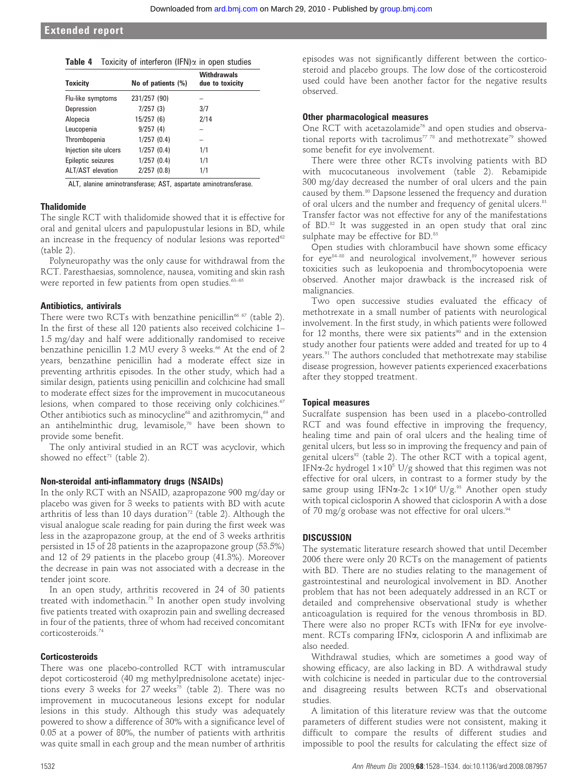| Table 4 |  |  | Toxicity of interferon (IFN) $\alpha$ in open studies |  |  |  |  |
|---------|--|--|-------------------------------------------------------|--|--|--|--|
|---------|--|--|-------------------------------------------------------|--|--|--|--|

| <b>Toxicity</b>          | No of patients (%) | <b>Withdrawals</b><br>due to toxicity |
|--------------------------|--------------------|---------------------------------------|
| Flu-like symptoms        | 231/257 (90)       |                                       |
| Depression               | 7/257(3)           | 3/7                                   |
| Alopecia                 | 15/257(6)          | 2/14                                  |
| Leucopenia               | 9/257(4)           |                                       |
| Thrombopenia             | 1/257(0.4)         |                                       |
| Injection site ulcers    | 1/257(0.4)         | 1/1                                   |
| Epileptic seizures       | 1/257(0.4)         | 1/1                                   |
| <b>ALT/AST</b> elevation | 2/257(0.8)         | 1/1                                   |

ALT, alanine aminotransferase; AST, aspartate aminotransferase.

# **Thalidomide**

The single RCT with thalidomide showed that it is effective for oral and genital ulcers and papulopustular lesions in BD, while an increase in the frequency of nodular lesions was reported<sup>62</sup> (table 2).

Polyneuropathy was the only cause for withdrawal from the RCT. Paresthaesias, somnolence, nausea, vomiting and skin rash were reported in few patients from open studies.<sup>63-65</sup>

# Antibiotics, antivirals

There were two RCTs with benzathine penicillin<sup>66 67</sup> (table 2). In the first of these all 120 patients also received colchicine 1– 1.5 mg/day and half were additionally randomised to receive benzathine penicillin 1.2 MU every 3 weeks.<sup>66</sup> At the end of 2 years, benzathine penicillin had a moderate effect size in preventing arthritis episodes. In the other study, which had a similar design, patients using penicillin and colchicine had small to moderate effect sizes for the improvement in mucocutaneous lesions, when compared to those receiving only colchicines. $67$ Other antibiotics such as minocycline<sup>68</sup> and azithromycin,<sup>69</sup> and an antihelminthic drug, levamisole, $70$  have been shown to provide some benefit.

The only antiviral studied in an RCT was acyclovir, which showed no effect<sup> $71$ </sup> (table 2).

#### Non-steroidal anti-inflammatory drugs (NSAIDs)

In the only RCT with an NSAID, azapropazone 900 mg/day or placebo was given for 3 weeks to patients with BD with acute arthritis of less than 10 days duration<sup>72</sup> (table 2). Although the visual analogue scale reading for pain during the first week was less in the azapropazone group, at the end of 3 weeks arthritis persisted in 15 of 28 patients in the azapropazone group (53.5%) and 12 of 29 patients in the placebo group (41.3%). Moreover the decrease in pain was not associated with a decrease in the tender joint score.

In an open study, arthritis recovered in 24 of 30 patients treated with indomethacin.<sup>73</sup> In another open study involving five patients treated with oxaprozin pain and swelling decreased in four of the patients, three of whom had received concomitant corticosteroids.74

# **Corticosteroids**

There was one placebo-controlled RCT with intramuscular depot corticosteroid (40 mg methylprednisolone acetate) injections every 3 weeks for  $27$  weeks<sup>75</sup> (table 2). There was no improvement in mucocutaneous lesions except for nodular lesions in this study. Although this study was adequately powered to show a difference of 30% with a significance level of 0.05 at a power of 80%, the number of patients with arthritis was quite small in each group and the mean number of arthritis episodes was not significantly different between the corticosteroid and placebo groups. The low dose of the corticosteroid used could have been another factor for the negative results observed.

#### Other pharmacological measures

One RCT with acetazolamide<sup>76</sup> and open studies and observational reports with tacrolimus<sup>77</sup> 78 and methotrexate<sup>79</sup> showed some benefit for eye involvement.

There were three other RCTs involving patients with BD with mucocutaneous involvement (table 2). Rebamipide 300 mg/day decreased the number of oral ulcers and the pain caused by them.80 Dapsone lessened the frequency and duration of oral ulcers and the number and frequency of genital ulcers.<sup>81</sup> Transfer factor was not effective for any of the manifestations of BD.82 It was suggested in an open study that oral zinc sulphate may be effective for BD.<sup>83</sup>

Open studies with chlorambucil have shown some efficacy for  $eye^{84-88}$  and neurological involvement,<sup>89</sup> however serious toxicities such as leukopoenia and thrombocytopoenia were observed. Another major drawback is the increased risk of malignancies.

Two open successive studies evaluated the efficacy of methotrexate in a small number of patients with neurological involvement. In the first study, in which patients were followed for 12 months, there were six patients $90$  and in the extension study another four patients were added and treated for up to 4 years.<sup>91</sup> The authors concluded that methotrexate may stabilise disease progression, however patients experienced exacerbations after they stopped treatment.

#### Topical measures

Sucralfate suspension has been used in a placebo-controlled RCT and was found effective in improving the frequency, healing time and pain of oral ulcers and the healing time of genital ulcers, but less so in improving the frequency and pain of genital ulcers<sup>92</sup> (table 2). The other RCT with a topical agent, IFN $\alpha$ -2c hydrogel  $1\times10^5$  U/g showed that this regimen was not effective for oral ulcers, in contrast to a former study by the same group using IFN $\alpha$ -2c  $1\times10^6$  U/g.<sup>93</sup> Another open study with topical ciclosporin A showed that ciclosporin A with a dose of 70 mg/g orobase was not effective for oral ulcers.<sup>94</sup>

# **DISCUSSION**

The systematic literature research showed that until December 2006 there were only 20 RCTs on the management of patients with BD. There are no studies relating to the management of gastrointestinal and neurological involvement in BD. Another problem that has not been adequately addressed in an RCT or detailed and comprehensive observational study is whether anticoagulation is required for the venous thrombosis in BD. There were also no proper RCTs with IFN $\alpha$  for eye involvement. RCTs comparing IFNa, ciclosporin A and infliximab are also needed.

Withdrawal studies, which are sometimes a good way of showing efficacy, are also lacking in BD. A withdrawal study with colchicine is needed in particular due to the controversial and disagreeing results between RCTs and observational studies.

A limitation of this literature review was that the outcome parameters of different studies were not consistent, making it difficult to compare the results of different studies and impossible to pool the results for calculating the effect size of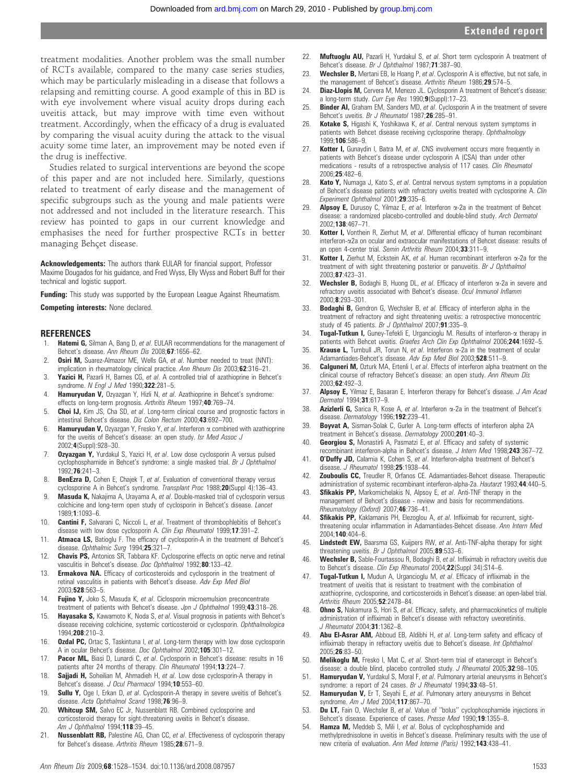treatment modalities. Another problem was the small number of RCTs available, compared to the many case series studies, which may be particularly misleading in a disease that follows a relapsing and remitting course. A good example of this in BD is with eye involvement where visual acuity drops during each uveitis attack, but may improve with time even without treatment. Accordingly, when the efficacy of a drug is evaluated by comparing the visual acuity during the attack to the visual acuity some time later, an improvement may be noted even if the drug is ineffective.

Studies related to surgical interventions are beyond the scope of this paper and are not included here. Similarly, questions related to treatment of early disease and the management of specific subgroups such as the young and male patients were not addressed and not included in the literature research. This review has pointed to gaps in our current knowledge and emphasises the need for further prospective RCTs in better managing Behçet disease.

Acknowledgements: The authors thank EULAR for financial support, Professor Maxime Dougados for his guidance, and Fred Wyss, Elly Wyss and Robert Buff for their technical and logistic support.

Funding: This study was supported by the European League Against Rheumatism.

Competing interests: None declared.

#### **REFERENCES**

- 1. Hatemi G, Silman A, Bang D, et al. EULAR recommendations for the management of Behcet's disease. Ann Rheum Dis 2008;67:1656-62.
- **Osiri M,** Suarez-Almazor ME, Wells GA, et al. Number needed to treat (NNT): implication in rheumatology clinical practice. Ann Rheum Dis 2003;62:316–21.
- 3. Yazici H, Pazarli H, Barnes CG, et al. A controlled trial of azathioprine in Behcet's syndrome. N Engl J Med 1990;322:281-5.
- 4. **Hamuryudan V,** Ozyazgan Y, Hizli N, et al. Azathioprine in Behcet's syndrome: effects on long-term prognosis. Arthritis Rheum 1997;40:769–74.
- Choi IJ, Kim JS, Cha SD, et al. Long-term clinical course and prognostic factors in intestinal Behcet's disease. Dis Colon Rectum 2000;43:692–700.
- 6. **Hamuryudan V,** Ozyazgan Y, Fresko Y, et al. Interferon  $\alpha$  combined with azathioprine for the uveitis of Behcet's disease: an open study. Isr Med Assoc J 2002;4(Suppl):928–30.
- 7. **Ozyazgan Y,** Yurdakul S, Yazici H, et al. Low dose cyclosporin A versus pulsed cyclophosphamide in Behcet's syndrome: a single masked trial. Br J Ophthalmol 1992;76:241–3.
- 8. **BenEzra D,** Cohen E, Chajek T, et al. Evaluation of conventional therapy versus cyclosporine A in Behcet's syndrome. Transplant Proc 1988;20(Suppl 4):136–43.
- 9. **Masuda K,** Nakajima A, Urayama A, et al. Double-masked trial of cyclosporin versus colchicine and long-term open study of cyclosporin in Behcet's disease. Lancet 1989;1:1093–6.
- 10. **Cantini F,** Salvarani C, Niccoli L, et al. Treatment of thrombophlebitis of Behcet's disease with low dose cyclosporin A. Clin Exp Rheumatol 1999;17:391-2.
- 11. **Atmaca LS,** Batioglu F. The efficacy of cyclosporin-A in the treatment of Behcet's disease. Ophthalmic Surg 1994;25:321-7.
- 12. **Chavis PS,** Antonios SR, Tabbara KF. Cyclosporine effects on optic nerve and retinal vasculitis in Behcet's disease. Doc Ophthalmol 1992;80:133-42.
- 13. **Ermakova NA.** Efficacy of corticosteroids and cyclosporin in the treatment of retinal vasculitis in patients with Behcet's disease. Adv Exp Med Biol 2003;528:563–5.
- 14. Fujino Y, Joko S, Masuda K, et al. Ciclosporin microemulsion preconcentrate treatment of patients with Behcet's disease. Jpn J Ophthalmol 1999;43:318-26.
- 15. Hayasaka S, Kawamoto K, Noda S, et al. Visual prognosis in patients with Behcet's disease receiving colchicine, systemic corticosteroid or cyclosporin. Ophthalmologica 1994;208:210–3.
- 16. Ozdal PC, Ortac S, Taskintuna I, et al. Long-term therapy with low dose cyclosporin A in ocular Behcet's disease. Doc Ophthalmol 2002;105:301–12.
- 17. Pacor ML, Biasi D, Lunardi C, et al. Cyclosporin in Behcet's disease: results in 16 patients after 24 months of therapy. Clin Rheumatol 1994;13:224-7.
- 18. Sajjadi H, Soheilian M, Ahmadieh H, et al. Low dose cyclosporin-A therapy in Behcet's disease. J Ocul Pharmacol 1994;10:553-60.
- 19. **Sullu Y,** Oge I, Erkan D, et al. Cyclosporin-A therapy in severe uveitis of Behcet's disease. Acta Ophthalmol Scand 1998;76:96-9.
- 20. Whitcup SM, Salvo EC Jr, Nussenblatt RB. Combined cyclosporine and corticosteroid therapy for sight-threatening uveitis in Behcet's disease. Am J Ophthalmol 1994:118:39-45.
- 21. **Nussenblatt RB,** Palestine AG, Chan CC, et al. Effectiveness of cyclosporin therapy for Behcet's disease. Arthritis Rheum 1985;28:671–9.
- 22. Muftuoglu AU, Pazarli H, Yurdakul S, et al. Short term cyclosporin A treatment of Behcet's disease. Br J Ophthalmol 1987;71:387–90.
- 23. Wechsler B, Mertani EB, le Hoang P, et al. Cyclosporin A is effective, but not safe, in the management of Behcet's disease. Arthritis Rheum 1986;29:574–5.
- 24. Diaz-Llopis M, Cervera M, Menezo JL. Cyclosporin A treatment of Behcet's disease: a long-term study. Curr Eye Res 1990;9(Suppl):17–23.
- 25. Binder AI, Graham EM, Sanders MD, et al. Cyclosporin A in the treatment of severe Behcet's uveitis. Br J Rheumatol 1987;26:285–91.
- 26. Kotake S, Higashi K, Yoshikawa K, et al. Central nervous system symptoms in patients with Behcet disease receiving cyclosporine therapy. Ophthalmology 1999;106:586–9.
- 27. Kotter I, Gunaydin I, Batra M, et al. CNS involvement occurs more frequently in patients with Behcet's disease under cyclosporin A (CSA) than under other medications - results of a retrospective analysis of 117 cases. Clin Rheumatol 2006;25:482–6.
- 28. Kato Y, Numaga J, Kato S, et al. Central nervous system symptoms in a population of Behcet's disease patients with refractory uveitis treated with cyclosporine A. Clin Experiment Ophthalmol 2001;29:335–6.
- 29. **Alpsoy E.** Durusoy C. Yilmaz E. et al. Interferon  $\alpha$ -2a in the treatment of Behcet disease: a randomized placebo-controlled and double-blind study. Arch Dermatol 2002;138:467–71.
- 30. Kotter I, Vonthein R, Zierhut M, et al. Differential efficacy of human recombinant interferon-a2a on ocular and extraocular manifestations of Behcet disease: results of an open 4-center trial. Semin Arthritis Rheum 2004;33:311-9.
- 31. **Kotter I,** Zierhut M, Eckstein AK, et al. Human recombinant interferon  $\alpha$ -2a for the treatment of with sight threatening posterior or panuveitis. Br J Ophthalmol 2003;87:423–31.
- 32. Wechsler B, Bodaghi B, Huong DL, et al. Efficacy of interferon  $\alpha$ -2a in severe and refractory uveitis associated with Behcet's disease. Ocul Immunol Inflamm 2000;8:293–301.
- 33. **Bodaghi B,** Gendron G, Wechsler B, et al. Efficacy of interferon alpha in the treatment of refractory and sight threatening uveitis: a retrospective monocentric study of 45 patients. Br J Ophthalmol 2007;91:335-9.
- 34. Tugal-Tutkun I, Guney-Tefekli E, Urgancioglu M. Results of interferon- $\alpha$  therapy in patients with Behcet uveitis. Graefes Arch Clin Exp Ophthalmol 2006;244:1692-5.
- 35. **Krause L,** Turnbull JR, Torun N, et al. Interferon  $\alpha$ -2a in the treatment of ocular Adamantiades-Behcet's disease. Adv Exp Med Biol 2003;528:511-9.
- 36. Calguneri M, Ozturk MA, Ertenli I, et al. Effects of interferon alpha treatment on the clinical course of refractory Behcet's disease: an open study. Ann Rheum Dis 2003;62:492–3.
- 37. Alpsoy E, Yilmaz E, Basaran E. Interferon therapy for Behcet's disease. J Am Acad Dermatol 1994;31:617–9.
- 38. **Azizlerli G,** Sarica R, Kose A, et al. Interferon  $\alpha$ -2a in the treatment of Behcet's disease. Dermatology 1996;192:239-41.
- 39. **Boyvat A,** Sisman-Solak C, Gurler A. Long-term effects of interferon alpha 2A treatment in Behcet's disease. Dermatology 2000;201:40–3.
- 40. **Georgiou S,** Monastirli A, Pasmatzi E, et al. Efficacy and safety of systemic recombinant interferon-alpha in Behcet's disease. J Intern Med 1998;243:367-72.
- 41. **O'Duffy JD,** Calamia K, Cohen S, et al. Interferon-alpha treatment of Behcet's disease. J Rheumatol 1998;25:1938–44.
- 42. **Zouboulis CC.** Treudler R. Orfanos CE. Adamantiades-Behcet disease. Therapeutic administration of systemic recombinant interferon-alpha-2a. Hautarzt 1993;44:440–5.
- 43. Sfikakis PP, Markomichelakis N, Alpsoy E, et al. Anti-TNF therapy in the management of Behcet's disease - review and basis for recommendations. Rheumatology (Oxford) 2007;46:736–41.
- 44. **Sfikakis PP,** Kaklamanis PH, Elezoglou A, et al. Infliximab for recurrent, sightthreatening ocular inflammation in Adamantiades-Behcet disease. Ann Intern Med 2004;140:404–6.
- 45. Lindstedt EW, Baarsma GS, Kuijpers RW, et al. Anti-TNF-alpha therapy for sight threatening uveitis. Br J Ophthalmol 2005;89:533-6.
- 46. Wechsler B, Sable-Fourtassou R, Bodaghi B, et al. Infliximab in refractory uveitis due to Behcet's disease. Clin Exp Rheumatol 2004;22(Suppl 34):S14-6.
- 47. Tugal-Tutkun I, Mudun A, Urgancioglu M, et al. Efficacy of infliximab in the treatment of uveitis that is resistant to treatment with the combination of azathioprine, cyclosporine, and corticosteroids in Behcet's disease: an open-label trial. Arthritis Rheum 2005;52:2478-84.
- 48. Ohno S, Nakamura S, Hori S, et al. Efficacy, safety, and pharmacokinetics of multiple administration of infliximab in Behcet's disease with refractory uveoretinitis. J Rheumatol 2004;31:1362-8.
- 49. **Abu El-Asrar AM,** Abboud EB, Aldibhi H, et al. Long-term safety and efficacy of infliximab therapy in refractory uveitis due to Behcet's disease. Int Ophthalmol 2005;26:83–50.
- 50. Melikoglu M, Fresko I, Mat C, et al. Short-term trial of etanercept in Behcet's disease: a double blind, placebo controlled study. J Rheumatol 2005;32:98-105.
- 51. **Hamuryudan V.** Yurdakul S. Moral F. et al. Pulmonary arterial aneurysms in Behcet's syndrome: a report of 24 cases. Br J Rheumatol 1994;33:48-51.
- 52. Hamuryudan V, Er T, Seyahi E, et al. Pulmonary artery aneurysms in Behcet syndrome. Am J Med 2004;117:867–70.
- 53. Du LT, Fain O, Wechsler B, et al. Value of ''bolus'' cyclophosphamide injections in Behcet's disease. Experience of cases. Presse Med 1990;19:1355–8.
- 54. Hamza M, Meddeb S, Mili I, et al. Bolus of cyclophosphamide and methylprednisolone in uveitis in Behcet's disease. Preliminary results with the use of new criteria of evaluation. Ann Med Interne (Paris) 1992;143:438-41.